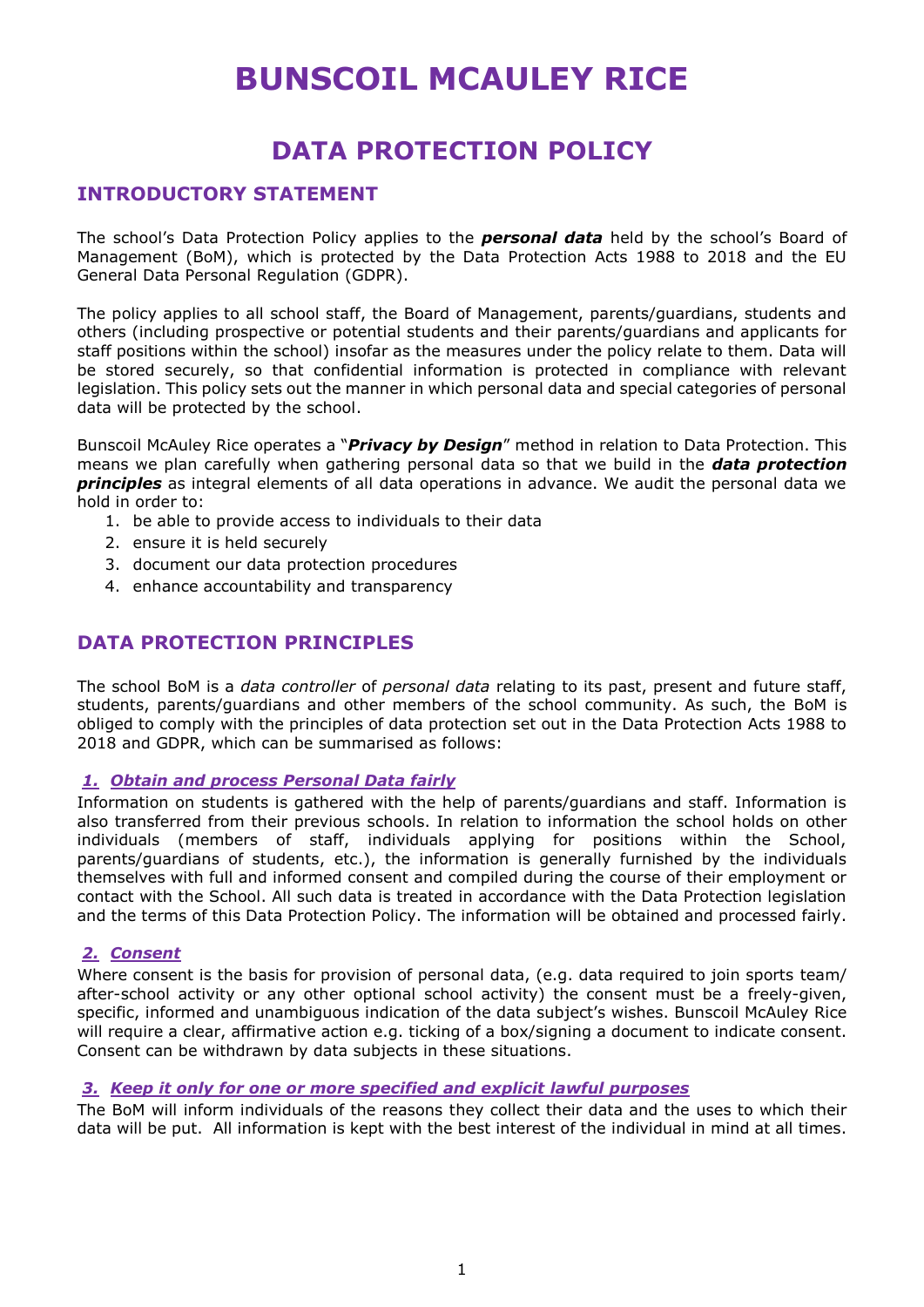# **BUNSCOIL MCAULEY RICE**

## **DATA PROTECTION POLICY**

## **INTRODUCTORY STATEMENT**

The school's Data Protection Policy applies to the *personal data* held by the school's Board of Management (BoM), which is protected by the Data Protection Acts 1988 to 2018 and the EU General Data Personal Regulation (GDPR).

The policy applies to all school staff, the Board of Management, parents/guardians, students and others (including prospective or potential students and their parents/guardians and applicants for staff positions within the school) insofar as the measures under the policy relate to them. Data will be stored securely, so that confidential information is protected in compliance with relevant legislation. This policy sets out the manner in which personal data and special categories of personal data will be protected by the school.

Bunscoil McAuley Rice operates a "*Privacy by Design*" method in relation to Data Protection. This means we plan carefully when gathering personal data so that we build in the *data protection principles* as integral elements of all data operations in advance. We audit the personal data we hold in order to:

- 1. be able to provide access to individuals to their data
- 2. ensure it is held securely
- 3. document our data protection procedures
- 4. enhance accountability and transparency

## **DATA PROTECTION PRINCIPLES**

The school BoM is a *data controller* of *personal data* relating to its past, present and future staff, students, parents/guardians and other members of the school community. As such, the BoM is obliged to comply with the principles of data protection set out in the Data Protection Acts 1988 to 2018 and GDPR, which can be summarised as follows:

#### *1. Obtain and process Personal Data fairly*

Information on students is gathered with the help of parents/guardians and staff. Information is also transferred from their previous schools. In relation to information the school holds on other individuals (members of staff, individuals applying for positions within the School, parents/guardians of students, etc.), the information is generally furnished by the individuals themselves with full and informed consent and compiled during the course of their employment or contact with the School. All such data is treated in accordance with the Data Protection legislation and the terms of this Data Protection Policy. The information will be obtained and processed fairly.

#### *2. Consent*

Where consent is the basis for provision of personal data, (e.g. data required to join sports team/ after-school activity or any other optional school activity) the consent must be a freely-given, specific, informed and unambiguous indication of the data subject's wishes. Bunscoil McAuley Rice will require a clear, affirmative action e.g. ticking of a box/signing a document to indicate consent. Consent can be withdrawn by data subjects in these situations.

#### *3. Keep it only for one or more specified and explicit lawful purposes*

The BoM will inform individuals of the reasons they collect their data and the uses to which their data will be put. All information is kept with the best interest of the individual in mind at all times.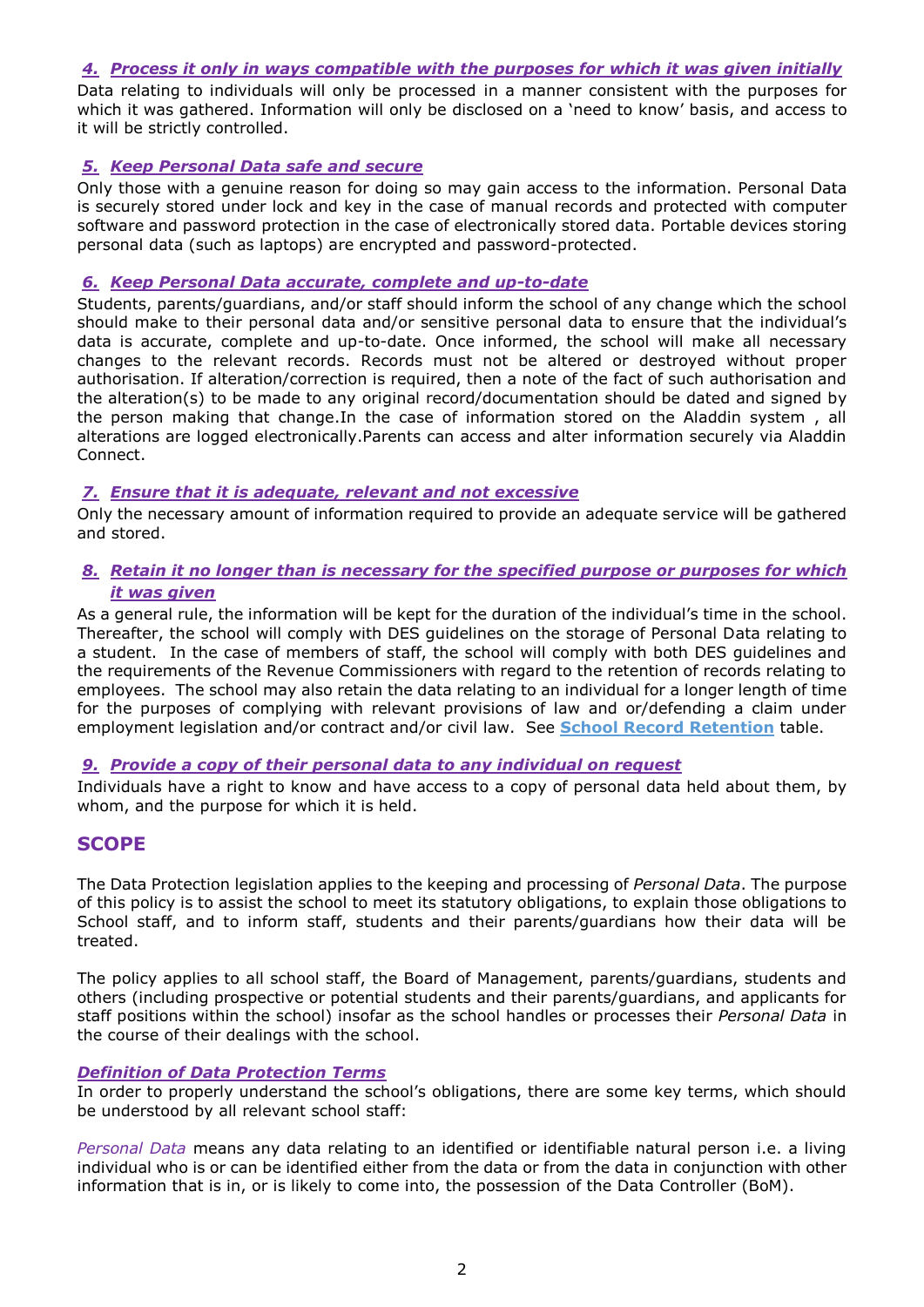#### *4. Process it only in ways compatible with the purposes for which it was given initially*

Data relating to individuals will only be processed in a manner consistent with the purposes for which it was gathered. Information will only be disclosed on a 'need to know' basis, and access to it will be strictly controlled.

#### *5. Keep Personal Data safe and secure*

Only those with a genuine reason for doing so may gain access to the information. Personal Data is securely stored under lock and key in the case of manual records and protected with computer software and password protection in the case of electronically stored data. Portable devices storing personal data (such as laptops) are encrypted and password-protected.

#### *6. Keep Personal Data accurate, complete and up-to-date*

Students, parents/guardians, and/or staff should inform the school of any change which the school should make to their personal data and/or sensitive personal data to ensure that the individual's data is accurate, complete and up-to-date. Once informed, the school will make all necessary changes to the relevant records. Records must not be altered or destroyed without proper authorisation. If alteration/correction is required, then a note of the fact of such authorisation and the alteration(s) to be made to any original record/documentation should be dated and signed by the person making that change.In the case of information stored on the Aladdin system , all alterations are logged electronically.Parents can access and alter information securely via Aladdin Connect.

#### *7. Ensure that it is adequate, relevant and not excessive*

Only the necessary amount of information required to provide an adequate service will be gathered and stored.

#### *8. Retain it no longer than is necessary for the specified purpose or purposes for which it was given*

As a general rule, the information will be kept for the duration of the individual's time in the school. Thereafter, the school will comply with DES guidelines on the storage of Personal Data relating to a student. In the case of members of staff, the school will comply with both DES guidelines and the requirements of the Revenue Commissioners with regard to the retention of records relating to employees. The school may also retain the data relating to an individual for a longer length of time for the purposes of complying with relevant provisions of law and or/defending a claim under employment legislation and/or contract and/or civil law. See **School Record Retention** table.

#### *9. Provide a copy of their personal data to any individual on request*

Individuals have a right to know and have access to a copy of personal data held about them, by whom, and the purpose for which it is held.

## **SCOPE**

The Data Protection legislation applies to the keeping and processing of *Personal Data*. The purpose of this policy is to assist the school to meet its statutory obligations, to explain those obligations to School staff, and to inform staff, students and their parents/guardians how their data will be treated.

The policy applies to all school staff, the Board of Management, parents/guardians, students and others (including prospective or potential students and their parents/guardians, and applicants for staff positions within the school) insofar as the school handles or processes their *Personal Data* in the course of their dealings with the school.

#### *Definition of Data Protection Terms*

In order to properly understand the school's obligations, there are some key terms, which should be understood by all relevant school staff:

*Personal Data* means any data relating to an identified or identifiable natural person i.e. a living individual who is or can be identified either from the data or from the data in conjunction with other information that is in, or is likely to come into, the possession of the Data Controller (BoM).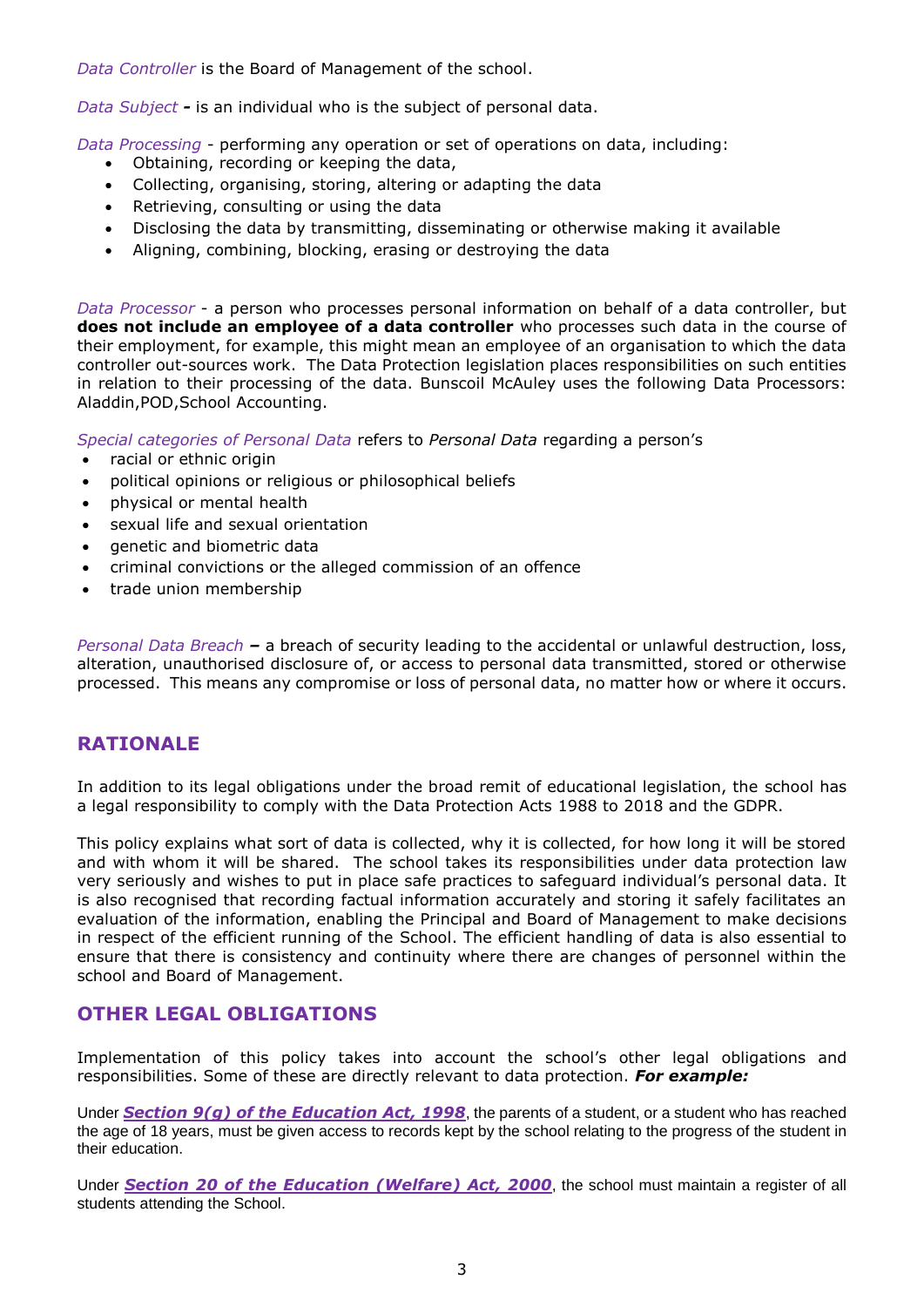*Data Controller* is the Board of Management of the school.

*Data Subject -* is an individual who is the subject of personal data.

*Data Processing* - performing any operation or set of operations on data, including:

- Obtaining, recording or keeping the data,
- Collecting, organising, storing, altering or adapting the data
- Retrieving, consulting or using the data
- Disclosing the data by transmitting, disseminating or otherwise making it available
- Aligning, combining, blocking, erasing or destroying the data

*Data Processor* - a person who processes personal information on behalf of a data controller, but **does not include an employee of a data controller** who processes such data in the course of their employment, for example, this might mean an employee of an organisation to which the data controller out-sources work. The Data Protection legislation places responsibilities on such entities in relation to their processing of the data. Bunscoil McAuley uses the following Data Processors: Aladdin,POD,School Accounting.

*Special categories of Personal Data* refers to *Personal Data* regarding a person's

- racial or ethnic origin
- political opinions or religious or philosophical beliefs
- physical or mental health
- sexual life and sexual orientation
- genetic and biometric data
- criminal convictions or the alleged commission of an offence
- trade union membership

*Personal Data Breach –* a breach of security leading to the accidental or unlawful destruction, loss, alteration, unauthorised disclosure of, or access to personal data transmitted, stored or otherwise processed. This means any compromise or loss of personal data, no matter how or where it occurs.

#### **RATIONALE**

In addition to its legal obligations under the broad remit of educational legislation, the school has a legal responsibility to comply with the Data Protection Acts 1988 to 2018 and the GDPR.

This policy explains what sort of data is collected, why it is collected, for how long it will be stored and with whom it will be shared. The school takes its responsibilities under data protection law very seriously and wishes to put in place safe practices to safeguard individual's personal data. It is also recognised that recording factual information accurately and storing it safely facilitates an evaluation of the information, enabling the Principal and Board of Management to make decisions in respect of the efficient running of the School. The efficient handling of data is also essential to ensure that there is consistency and continuity where there are changes of personnel within the school and Board of Management.

## **OTHER LEGAL OBLIGATIONS**

Implementation of this policy takes into account the school's other legal obligations and responsibilities. Some of these are directly relevant to data protection. *For example:*

Under *Section 9(g) of the [Education Act, 1998](http://acts2.oireachtas.ie/zza51y1998.1.html)*, the parents of a student, or a student who has reached the age of 18 years, must be given access to records kept by the school relating to the progress of the student in their education.

Under *Section 20 of the [Education \(Welfare\) Act, 2000](http://www.oireachtas.ie/documents/bills28/acts/2000/a2200.pdf)*, the school must maintain a register of all students attending the School.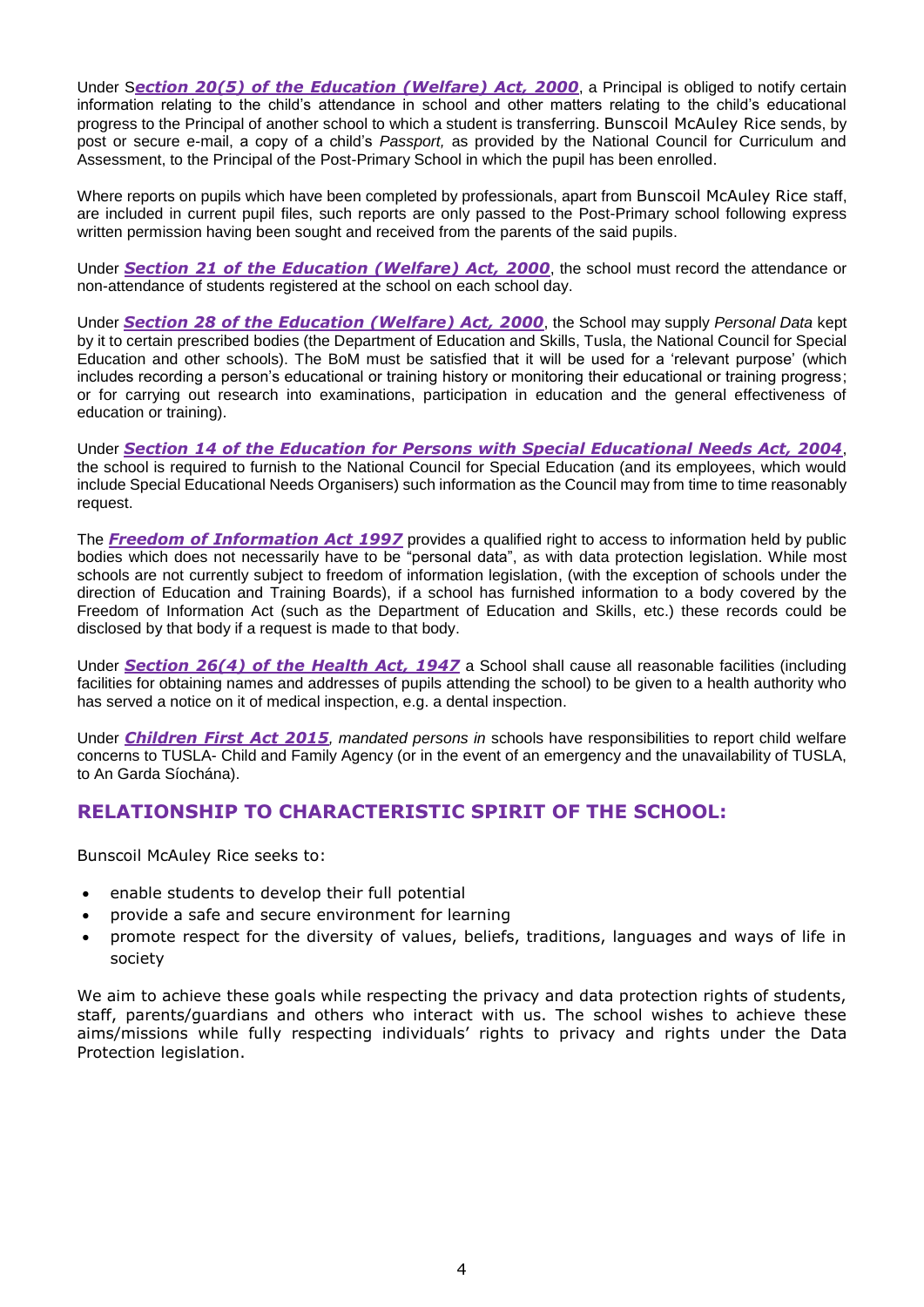Under S*ection 20(5) of the Education (Welfare) Act, 2000*, a Principal is obliged to notify certain information relating to the child's attendance in school and other matters relating to the child's educational progress to the Principal of another school to which a student is transferring. Bunscoil McAuley Rice sends, by post or secure e-mail, a copy of a child's *Passport,* as provided by the National Council for Curriculum and Assessment, to the Principal of the Post-Primary School in which the pupil has been enrolled.

Where reports on pupils which have been completed by professionals, apart from Bunscoil McAuley Rice staff, are included in current pupil files, such reports are only passed to the Post-Primary school following express written permission having been sought and received from the parents of the said pupils.

Under *Section 21 of the [Education \(Welfare\) Act, 2000](http://www.oireachtas.ie/documents/bills28/acts/2000/a2200.pdf)*, the school must record the attendance or non-attendance of students registered at the school on each school day.

Under *Section 28 of the [Education \(Welfare\) Act, 2000](http://www.oireachtas.ie/documents/bills28/acts/2000/a2200.pdf)*, the School may supply *Personal Data* kept by it to certain prescribed bodies (the Department of Education and Skills, Tusla, the National Council for Special Education and other schools). The BoM must be satisfied that it will be used for a 'relevant purpose' (which includes recording a person's educational or training history or monitoring their educational or training progress; or for carrying out research into examinations, participation in education and the general effectiveness of education or training).

Under *Section 14 of the Education for Persons with Special Educational Needs Act, 2004*, the school is required to furnish to the National Council for Special Education (and its employees, which would include Special Educational Needs Organisers) such information as the Council may from time to time reasonably request.

The *Freedom of Information Act 1997* provides a qualified right to access to information held by public bodies which does not necessarily have to be "personal data", as with data protection legislation. While most schools are not currently subject to freedom of information legislation, (with the exception of schools under the direction of Education and Training Boards), if a school has furnished information to a body covered by the Freedom of Information Act (such as the Department of Education and Skills, etc.) these records could be disclosed by that body if a request is made to that body.

Under *Section 26(4) of the Health Act, 1947* a School shall cause all reasonable facilities (including facilities for obtaining names and addresses of pupils attending the school) to be given to a health authority who has served a notice on it of medical inspection, e.g. a dental inspection.

Under *Children First Act 2015, mandated persons in* schools have responsibilities to report child welfare concerns to TUSLA- Child and Family Agency (or in the event of an emergency and the unavailability of TUSLA, to An Garda Síochána).

## **RELATIONSHIP TO CHARACTERISTIC SPIRIT OF THE SCHOOL:**

Bunscoil McAuley Rice seeks to:

- enable students to develop their full potential
- provide a safe and secure environment for learning
- promote respect for the diversity of values, beliefs, traditions, languages and ways of life in society

We aim to achieve these goals while respecting the privacy and data protection rights of students, staff, parents/guardians and others who interact with us. The school wishes to achieve these aims/missions while fully respecting individuals' rights to privacy and rights under the Data Protection legislation.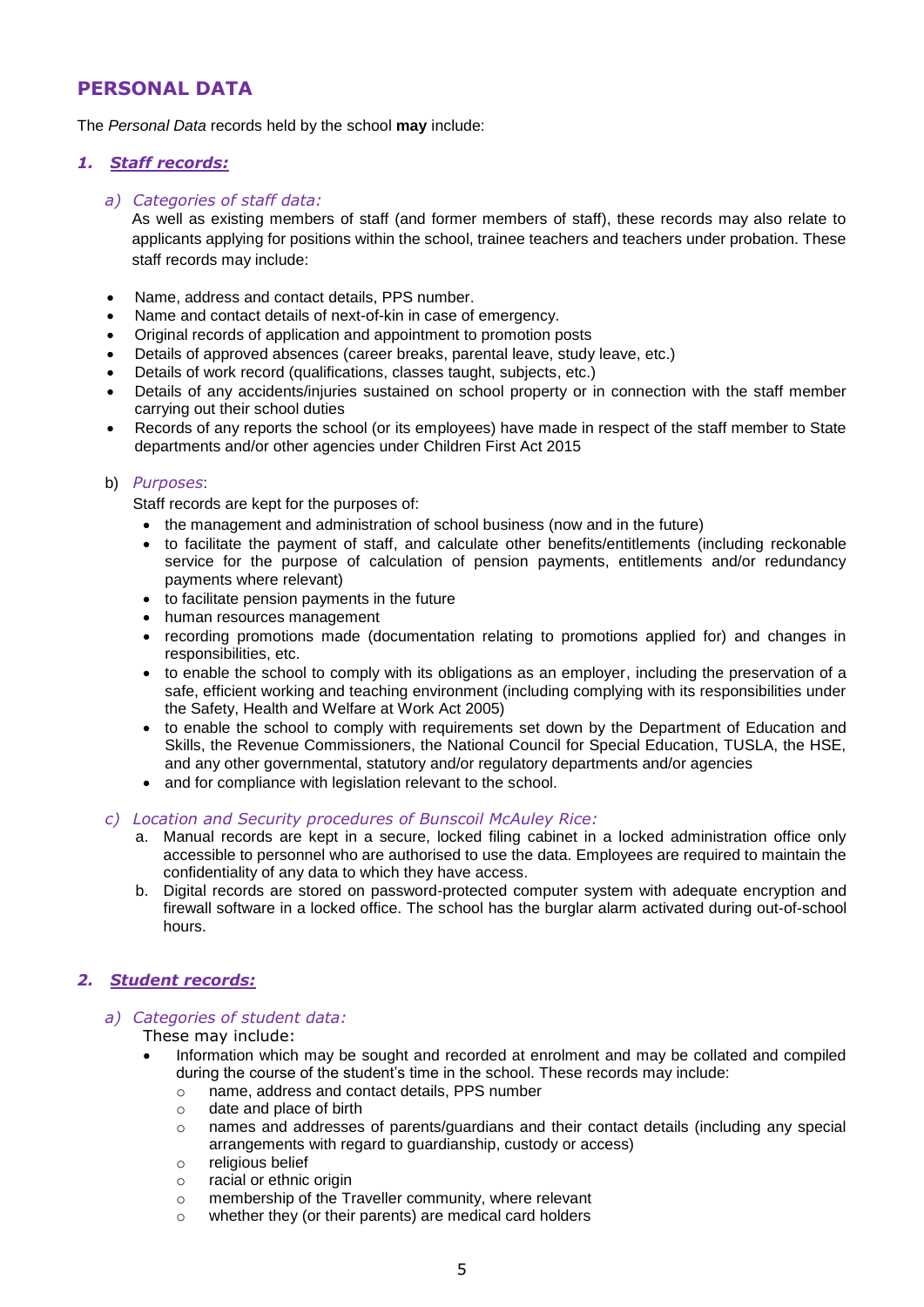## **PERSONAL DATA**

The *Personal Data* records held by the school **may** include:

#### *1. Staff records:*

#### *a) Categories of staff data:*

As well as existing members of staff (and former members of staff), these records may also relate to applicants applying for positions within the school, trainee teachers and teachers under probation. These staff records may include:

- Name, address and contact details, PPS number.
- Name and contact details of next-of-kin in case of emergency.
- Original records of application and appointment to promotion posts
- Details of approved absences (career breaks, parental leave, study leave, etc.)
- Details of work record (qualifications, classes taught, subjects, etc.)
- Details of any accidents/injuries sustained on school property or in connection with the staff member carrying out their school duties
- Records of any reports the school (or its employees) have made in respect of the staff member to State departments and/or other agencies under Children First Act 2015

#### b) *Purposes*:

Staff records are kept for the purposes of:

- the management and administration of school business (now and in the future)
- to facilitate the payment of staff, and calculate other benefits/entitlements (including reckonable service for the purpose of calculation of pension payments, entitlements and/or redundancy payments where relevant)
- to facilitate pension payments in the future
- human resources management
- recording promotions made (documentation relating to promotions applied for) and changes in responsibilities, etc.
- to enable the school to comply with its obligations as an employer, including the preservation of a safe, efficient working and teaching environment (including complying with its responsibilities under the Safety, Health and Welfare at Work Act 2005)
- to enable the school to comply with requirements set down by the Department of Education and Skills, the Revenue Commissioners, the National Council for Special Education, TUSLA, the HSE, and any other governmental, statutory and/or regulatory departments and/or agencies
- and for compliance with legislation relevant to the school.

#### *c) Location and Security procedures of Bunscoil McAuley Rice:*

- a. Manual records are kept in a secure, locked filing cabinet in a locked administration office only accessible to personnel who are authorised to use the data. Employees are required to maintain the confidentiality of any data to which they have access.
- b. Digital records are stored on password-protected computer system with adequate encryption and firewall software in a locked office. The school has the burglar alarm activated during out-of-school hours.

#### *2. Student records:*

#### *a) Categories of student data:*

#### These may include:

- Information which may be sought and recorded at enrolment and may be collated and compiled during the course of the student's time in the school. These records may include:
	- o name, address and contact details, PPS number
	- o date and place of birth
	- o names and addresses of parents/guardians and their contact details (including any special arrangements with regard to guardianship, custody or access)
	- o religious belief
	- o racial or ethnic origin
	- o membership of the Traveller community, where relevant
	- o whether they (or their parents) are medical card holders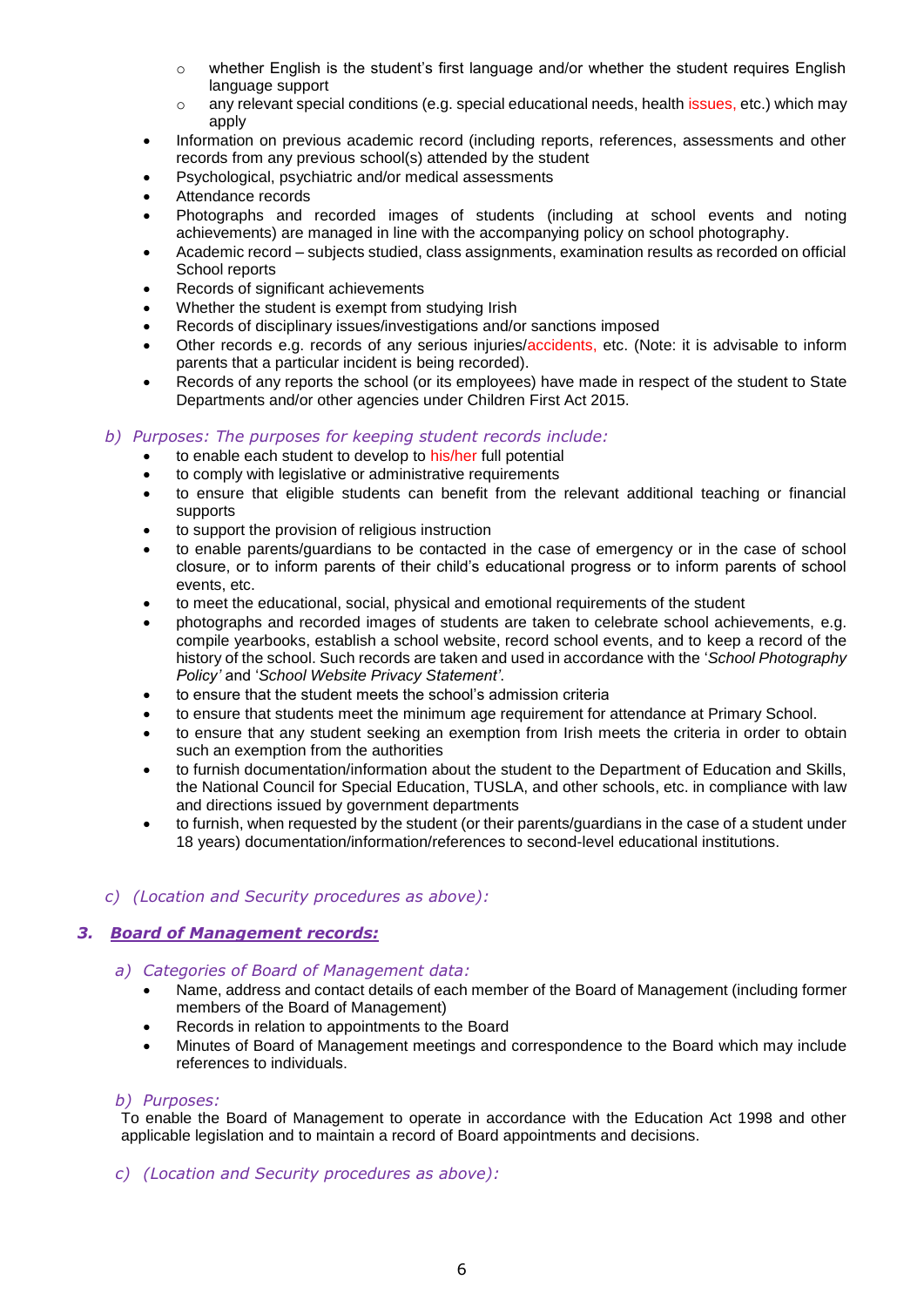- o whether English is the student's first language and/or whether the student requires English language support
- $\circ$  any relevant special conditions (e.g. special educational needs, health issues, etc.) which may apply
- Information on previous academic record (including reports, references, assessments and other records from any previous school(s) attended by the student
- Psychological, psychiatric and/or medical assessments
- Attendance records
- Photographs and recorded images of students (including at school events and noting achievements) are managed in line with the accompanying policy on school photography.
- Academic record subjects studied, class assignments, examination results as recorded on official School reports
- Records of significant achievements
- Whether the student is exempt from studying Irish
- Records of disciplinary issues/investigations and/or sanctions imposed
- Other records e.g. records of any serious injuries/accidents, etc. (Note: it is advisable to inform parents that a particular incident is being recorded).
- Records of any reports the school (or its employees) have made in respect of the student to State Departments and/or other agencies under Children First Act 2015.

#### *b) Purposes: The purposes for keeping student records include:*

- to enable each student to develop to his/her full potential
- to comply with legislative or administrative requirements
- to ensure that eligible students can benefit from the relevant additional teaching or financial supports
- to support the provision of religious instruction
- to enable parents/guardians to be contacted in the case of emergency or in the case of school closure, or to inform parents of their child's educational progress or to inform parents of school events, etc.
- to meet the educational, social, physical and emotional requirements of the student
- photographs and recorded images of students are taken to celebrate school achievements, e.g. compile yearbooks, establish a school website, record school events, and to keep a record of the history of the school. Such records are taken and used in accordance with the '*School Photography Policy'* and '*School Website Privacy Statement'*.
- to ensure that the student meets the school's admission criteria
- to ensure that students meet the minimum age requirement for attendance at Primary School.
- to ensure that any student seeking an exemption from Irish meets the criteria in order to obtain such an exemption from the authorities
- to furnish documentation/information about the student to the Department of Education and Skills, the National Council for Special Education, TUSLA, and other schools, etc. in compliance with law and directions issued by government departments
- to furnish, when requested by the student (or their parents/guardians in the case of a student under 18 years) documentation/information/references to second-level educational institutions.

#### *c) (Location and Security procedures as above):*

#### *3. Board of Management records:*

- *a) Categories of Board of Management data:*
	- Name, address and contact details of each member of the Board of Management (including former members of the Board of Management)
	- Records in relation to appointments to the Board
	- Minutes of Board of Management meetings and correspondence to the Board which may include references to individuals.

#### *b) Purposes:*

To enable the Board of Management to operate in accordance with the Education Act 1998 and other applicable legislation and to maintain a record of Board appointments and decisions.

*c) (Location and Security procedures as above):*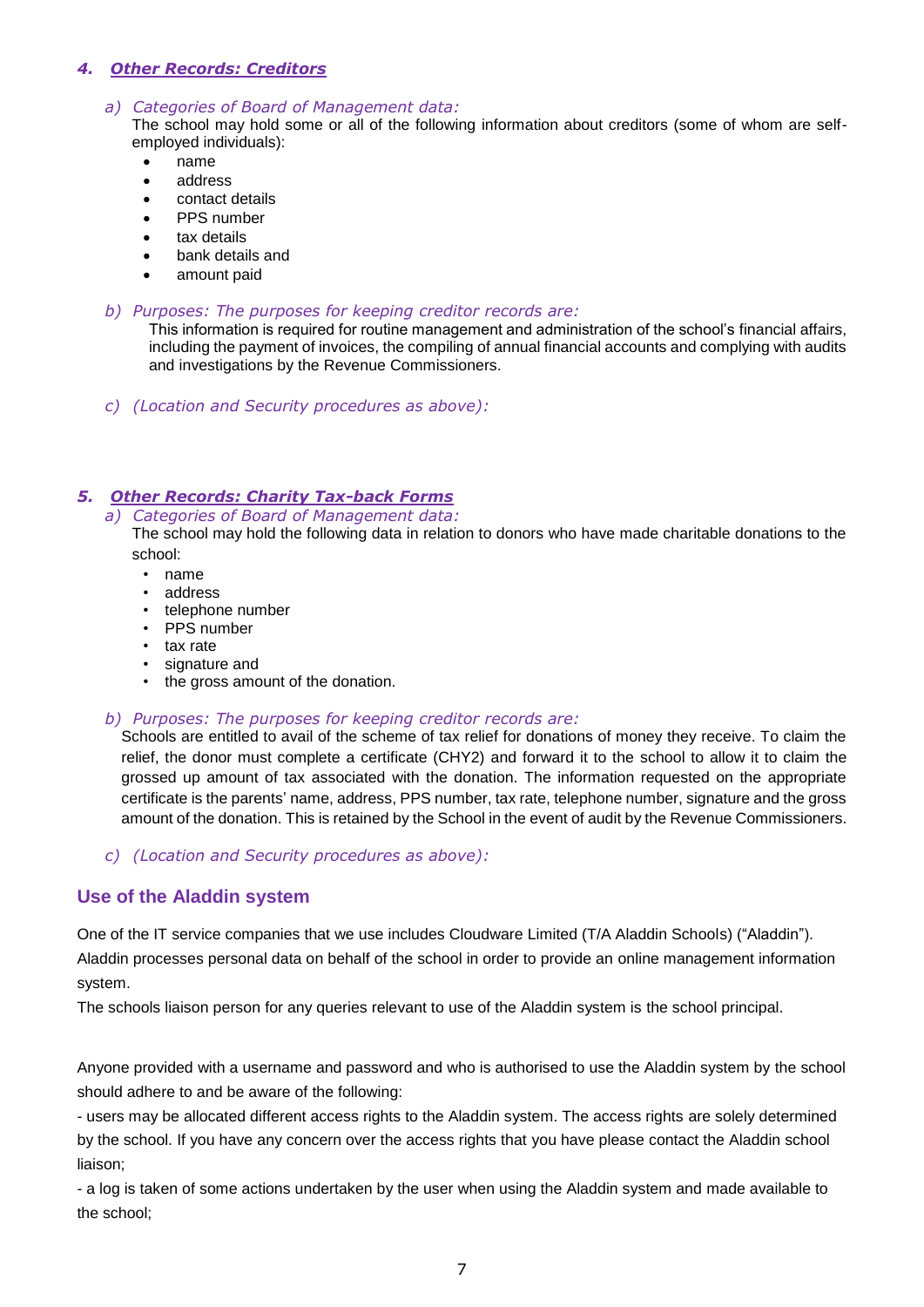#### *4. Other Records: Creditors*

#### *a) Categories of Board of Management data:*

The school may hold some or all of the following information about creditors (some of whom are selfemployed individuals):

- name
- address
- contact details
- PPS number
- tax details
- bank details and
- amount paid

#### *b) Purposes: The purposes for keeping creditor records are:*

This information is required for routine management and administration of the school's financial affairs, including the payment of invoices, the compiling of annual financial accounts and complying with audits and investigations by the Revenue Commissioners.

*c) (Location and Security procedures as above):* 

#### *5. Other Records: Charity Tax-back Forms*

*a) Categories of Board of Management data:*

The school may hold the following data in relation to donors who have made charitable donations to the school:

- name
- address
- telephone number
- PPS number
- tax rate
- signature and
- the gross amount of the donation.
- *b) Purposes: The purposes for keeping creditor records are:*

Schools are entitled to avail of the scheme of tax relief for donations of money they receive. To claim the relief, the donor must complete a certificate (CHY2) and forward it to the school to allow it to claim the grossed up amount of tax associated with the donation. The information requested on the appropriate certificate is the parents' name, address, PPS number, tax rate, telephone number, signature and the gross amount of the donation. This is retained by the School in the event of audit by the Revenue Commissioners.

*c) (Location and Security procedures as above):* 

#### **Use of the Aladdin system**

One of the IT service companies that we use includes Cloudware Limited (T/A Aladdin Schools) ("Aladdin"). Aladdin processes personal data on behalf of the school in order to provide an online management information system.

The schools liaison person for any queries relevant to use of the Aladdin system is the school principal.

Anyone provided with a username and password and who is authorised to use the Aladdin system by the school should adhere to and be aware of the following:

- users may be allocated different access rights to the Aladdin system. The access rights are solely determined by the school. If you have any concern over the access rights that you have please contact the Aladdin school liaison;

- a log is taken of some actions undertaken by the user when using the Aladdin system and made available to the school;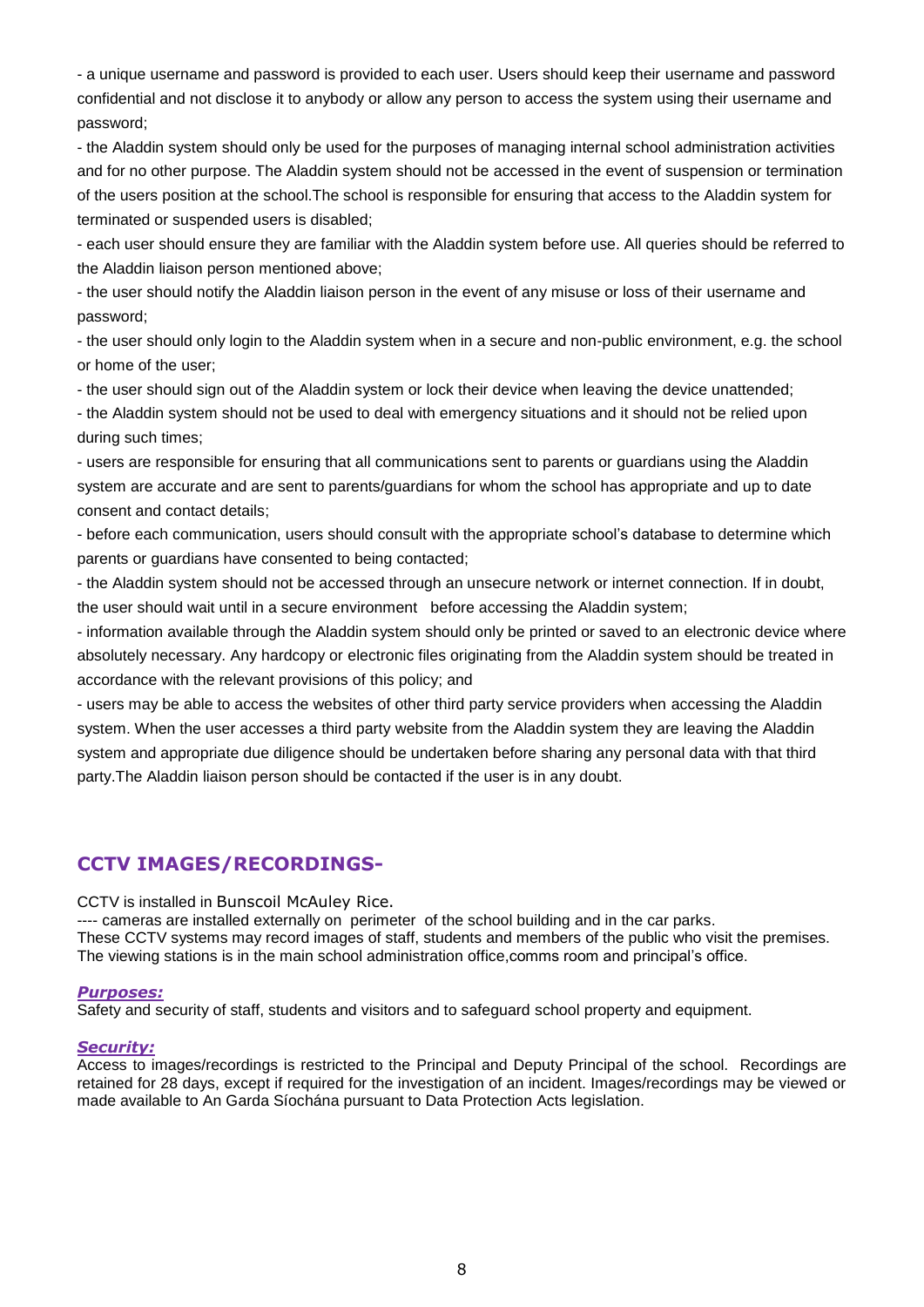- a unique username and password is provided to each user. Users should keep their username and password confidential and not disclose it to anybody or allow any person to access the system using their username and password;

- the Aladdin system should only be used for the purposes of managing internal school administration activities and for no other purpose. The Aladdin system should not be accessed in the event of suspension or termination of the users position at the school.The school is responsible for ensuring that access to the Aladdin system for terminated or suspended users is disabled;

- each user should ensure they are familiar with the Aladdin system before use. All queries should be referred to the Aladdin liaison person mentioned above;

- the user should notify the Aladdin liaison person in the event of any misuse or loss of their username and password;

- the user should only login to the Aladdin system when in a secure and non-public environment, e.g. the school or home of the user;

- the user should sign out of the Aladdin system or lock their device when leaving the device unattended;

- the Aladdin system should not be used to deal with emergency situations and it should not be relied upon during such times;

- users are responsible for ensuring that all communications sent to parents or guardians using the Aladdin system are accurate and are sent to parents/guardians for whom the school has appropriate and up to date consent and contact details;

- before each communication, users should consult with the appropriate school's database to determine which parents or guardians have consented to being contacted;

- the Aladdin system should not be accessed through an unsecure network or internet connection. If in doubt, the user should wait until in a secure environment before accessing the Aladdin system;

- information available through the Aladdin system should only be printed or saved to an electronic device where absolutely necessary. Any hardcopy or electronic files originating from the Aladdin system should be treated in accordance with the relevant provisions of this policy; and

- users may be able to access the websites of other third party service providers when accessing the Aladdin system. When the user accesses a third party website from the Aladdin system they are leaving the Aladdin system and appropriate due diligence should be undertaken before sharing any personal data with that third party.The Aladdin liaison person should be contacted if the user is in any doubt.

## **CCTV IMAGES/RECORDINGS-**

CCTV is installed in Bunscoil McAuley Rice.

---- cameras are installed externally on perimeter of the school building and in the car parks. These CCTV systems may record images of staff, students and members of the public who visit the premises. The viewing stations is in the main school administration office,comms room and principal's office.

#### *Purposes:*

Safety and security of staff, students and visitors and to safeguard school property and equipment.

#### *Security:*

Access to images/recordings is restricted to the Principal and Deputy Principal of the school. Recordings are retained for 28 days, except if required for the investigation of an incident. Images/recordings may be viewed or made available to An Garda Síochána pursuant to Data Protection Acts legislation.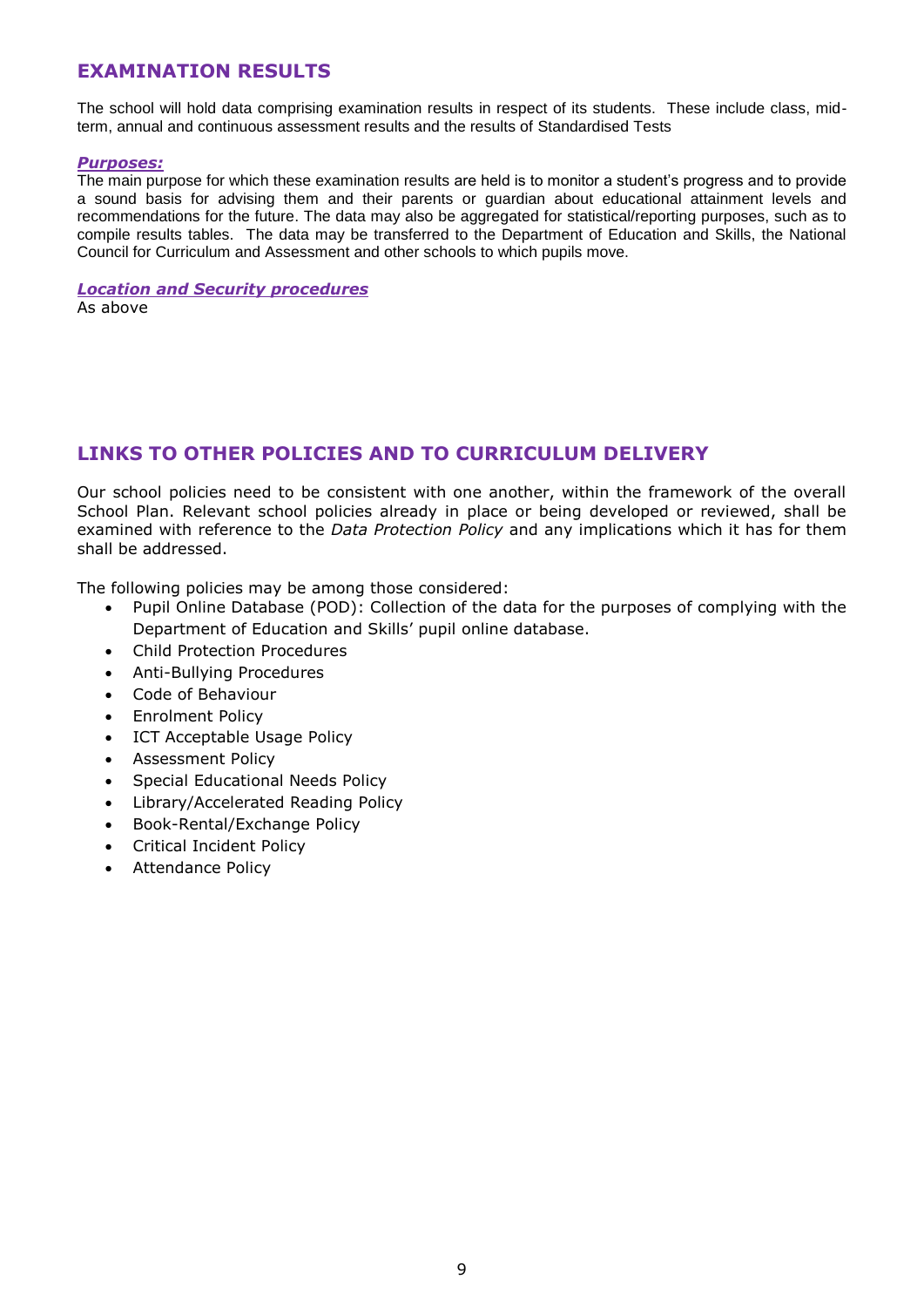## **EXAMINATION RESULTS**

The school will hold data comprising examination results in respect of its students. These include class, midterm, annual and continuous assessment results and the results of Standardised Tests

#### *Purposes:*

The main purpose for which these examination results are held is to monitor a student's progress and to provide a sound basis for advising them and their parents or guardian about educational attainment levels and recommendations for the future. The data may also be aggregated for statistical/reporting purposes, such as to compile results tables. The data may be transferred to the Department of Education and Skills, the National Council for Curriculum and Assessment and other schools to which pupils move.

#### *Location and Security procedures*

As above

## **LINKS TO OTHER POLICIES AND TO CURRICULUM DELIVERY**

Our school policies need to be consistent with one another, within the framework of the overall School Plan. Relevant school policies already in place or being developed or reviewed, shall be examined with reference to the *Data Protection Policy* and any implications which it has for them shall be addressed.

The following policies may be among those considered:

- Pupil Online Database (POD): Collection of the data for the purposes of complying with the Department of Education and Skills' pupil online database.
- Child Protection Procedures
- Anti-Bullying Procedures
- Code of Behaviour
- Enrolment Policy
- ICT Acceptable Usage Policy
- Assessment Policy
- Special Educational Needs Policy
- Library/Accelerated Reading Policy
- Book-Rental/Exchange Policy
- Critical Incident Policy
- Attendance Policy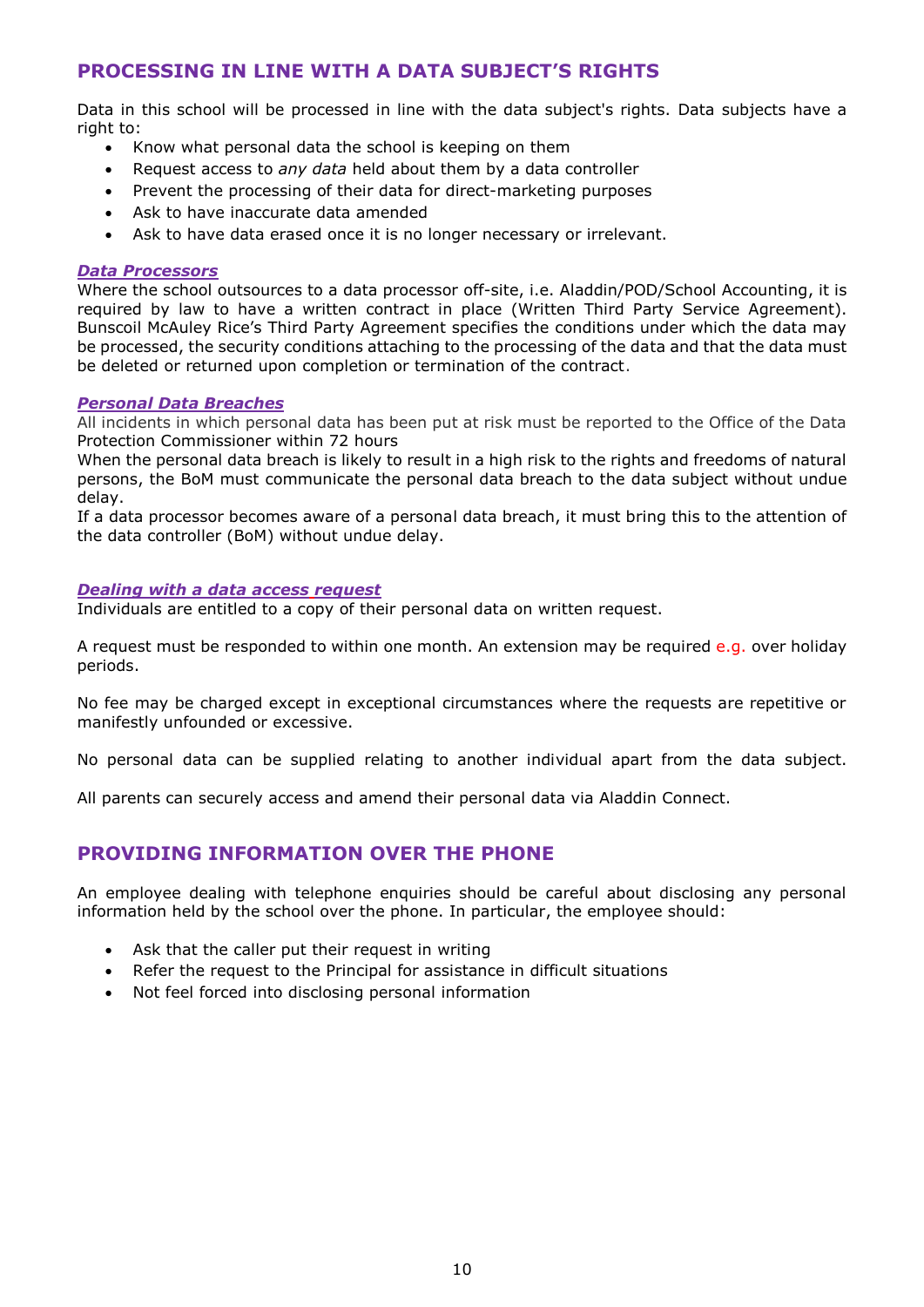## **PROCESSING IN LINE WITH A DATA SUBJECT'S RIGHTS**

Data in this school will be processed in line with the data subject's rights. Data subjects have a right to:

- Know what personal data the school is keeping on them
- Request access to *any data* held about them by a data controller
- Prevent the processing of their data for direct-marketing purposes
- Ask to have inaccurate data amended
- Ask to have data erased once it is no longer necessary or irrelevant.

#### *Data Processors*

Where the school outsources to a data processor off-site, i.e. Aladdin/POD/School Accounting, it is required by law to have a written contract in place (Written Third Party Service Agreement). Bunscoil McAuley Rice's Third Party Agreement specifies the conditions under which the data may be processed, the security conditions attaching to the processing of the data and that the data must be deleted or returned upon completion or termination of the contract.

#### *Personal Data Breaches*

All incidents in which personal data has been put at risk must be reported to the Office of the Data Protection Commissioner within 72 hours

When the personal data breach is likely to result in a high risk to the rights and freedoms of natural persons, the BoM must communicate the personal data breach to the data subject without undue delay.

If a data processor becomes aware of a personal data breach, it must bring this to the attention of the data controller (BoM) without undue delay.

#### *Dealing with a data access request*

Individuals are entitled to a copy of their personal data on written request.

A request must be responded to within one month. An extension may be required  $e.q.$  over holiday periods.

No fee may be charged except in exceptional circumstances where the requests are repetitive or manifestly unfounded or excessive.

No personal data can be supplied relating to another individual apart from the data subject.

All parents can securely access and amend their personal data via Aladdin Connect.

## **PROVIDING INFORMATION OVER THE PHONE**

An employee dealing with telephone enquiries should be careful about disclosing any personal information held by the school over the phone. In particular, the employee should:

- Ask that the caller put their request in writing
- Refer the request to the Principal for assistance in difficult situations
- Not feel forced into disclosing personal information